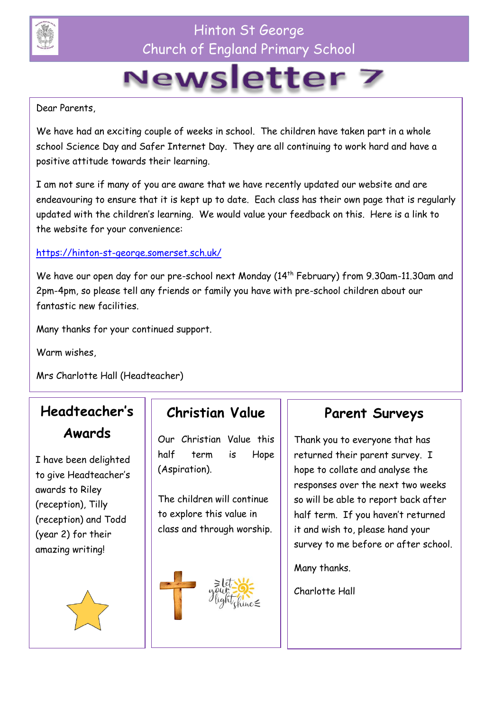

## Hinton St George Church of England Primary School

# Newsletter 7

Dear Parents,

We have had an exciting couple of weeks in school. The children have taken part in a whole school Science Day and Safer Internet Day. They are all continuing to work hard and have a positive attitude towards their learning.

I am not sure if many of you are aware that we have recently updated our website and are endeavouring to ensure that it is kept up to date. Each class has their own page that is regularly updated with the children's learning. We would value your feedback on this. Here is a link to the website for your convenience:

#### <https://hinton-st-george.somerset.sch.uk/>

We have our open day for our pre-school next Monday (14<sup>th</sup> February) from 9.30am-11.30am and 2pm-4pm, so please tell any friends or family you have with pre-school children about our fantastic new facilities.

Many thanks for your continued support.

Warm wishes,

Mrs Charlotte Hall (Headteacher)

# **Headteacher's Awards**

I have been delighted to give Headteacher's awards to Riley (reception), Tilly (reception) and Todd (year 2) for their amazing writing!



#### **Christian Value**

Our Christian Value this half term is Hope (Aspiration).

The children will continue to explore this value in class and through worship.



#### **Parent Surveys**

Thank you to everyone that has returned their parent survey. I hope to collate and analyse the responses over the next two weeks so will be able to report back after half term. If you haven't returned it and wish to, please hand your survey to me before or after school.

Many thanks.

Charlotte Hall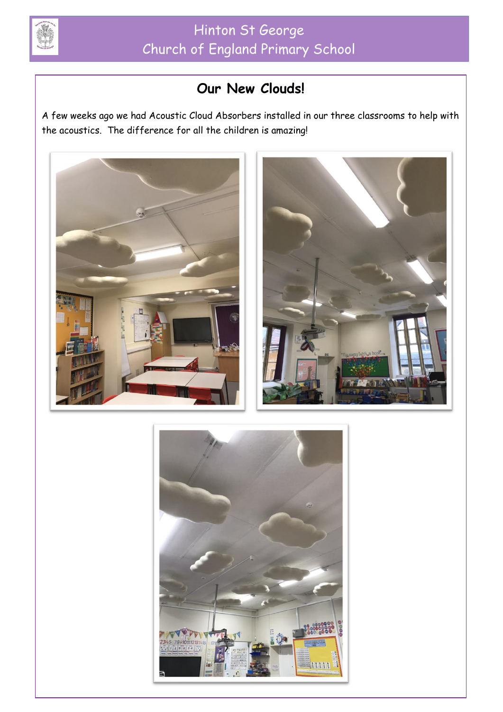

# **Our New Clouds!**

A few weeks ago we had Acoustic Cloud Absorbers installed in our three classrooms to help with the acoustics. The difference for all the children is amazing!



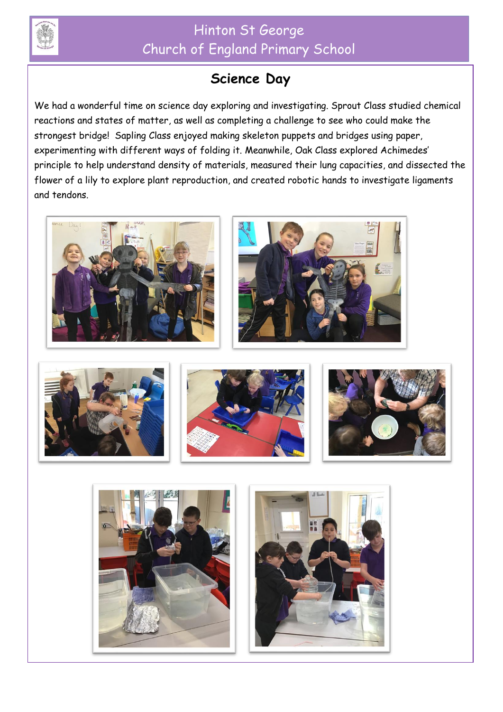

## Hinton St George Church of England Primary School

### **Science Day**

We had a wonderful time on science day exploring and investigating. Sprout Class studied chemical reactions and states of matter, as well as completing a challenge to see who could make the strongest bridge! Sapling Class enjoyed making skeleton puppets and bridges using paper, experimenting with different ways of folding it. Meanwhile, Oak Class explored Achimedes' principle to help understand density of materials, measured their lung capacities, and dissected the flower of a lily to explore plant reproduction, and created robotic hands to investigate ligaments and tendons.







L







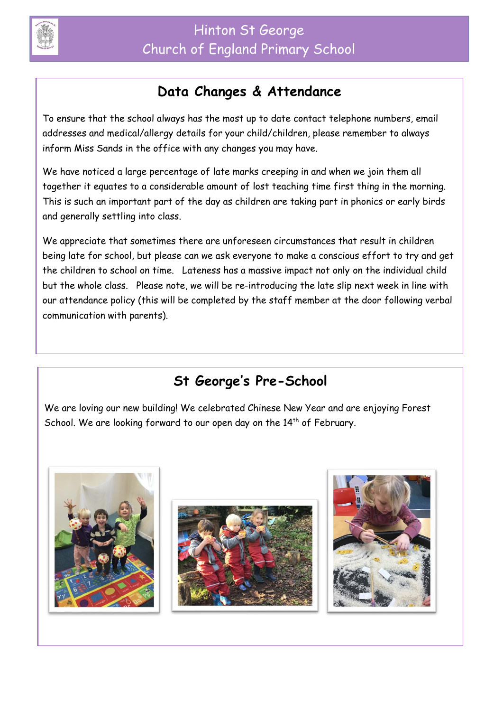

#### **Data Changes & Attendance**

To ensure that the school always has the most up to date contact telephone numbers, email addresses and medical/allergy details for your child/children, please remember to always inform Miss Sands in the office with any changes you may have.

We have noticed a large percentage of late marks creeping in and when we join them all together it equates to a considerable amount of lost teaching time first thing in the morning. This is such an important part of the day as children are taking part in phonics or early birds and generally settling into class.

We appreciate that sometimes there are unforeseen circumstances that result in children being late for school, but please can we ask everyone to make a conscious effort to try and get the children to school on time. Lateness has a massive impact not only on the individual child but the whole class. Please note, we will be re-introducing the late slip next week in line with our attendance policy (this will be completed by the staff member at the door following verbal communication with parents).

# **St George's Pre-School**

We are loving our new building! We celebrated Chinese New Year and are enjoying Forest School. We are looking forward to our open day on the  $14<sup>th</sup>$  of February.

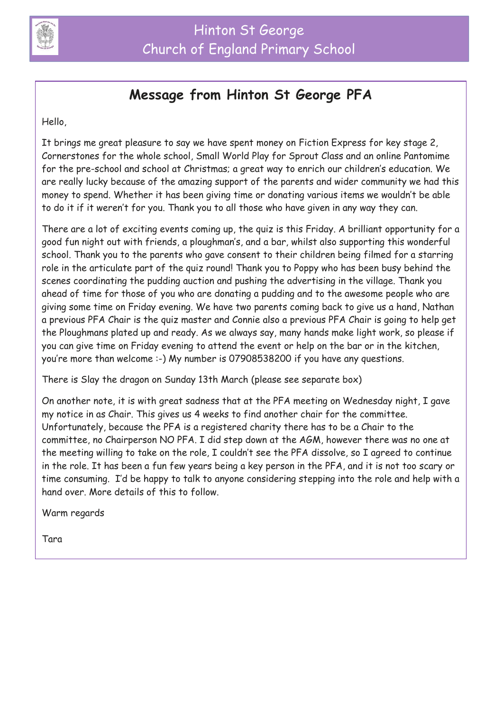

#### **Message from Hinton St George PFA**

Hello,

It brings me great pleasure to say we have spent money on Fiction Express for key stage 2, Cornerstones for the whole school, Small World Play for Sprout Class and an online Pantomime for the pre-school and school at Christmas; a great way to enrich our children's education. We are really lucky because of the amazing support of the parents and wider community we had this money to spend. Whether it has been giving time or donating various items we wouldn't be able to do it if it weren't for you. Thank you to all those who have given in any way they can.

There are a lot of exciting events coming up, the quiz is this Friday. A brilliant opportunity for a good fun night out with friends, a ploughman's, and a bar, whilst also supporting this wonderful school. Thank you to the parents who gave consent to their children being filmed for a starring role in the articulate part of the quiz round! Thank you to Poppy who has been busy behind the scenes coordinating the pudding auction and pushing the advertising in the village. Thank you ahead of time for those of you who are donating a pudding and to the awesome people who are giving some time on Friday evening. We have two parents coming back to give us a hand, Nathan a previous PFA Chair is the quiz master and Connie also a previous PFA Chair is going to help get the Ploughmans plated up and ready. As we always say, many hands make light work, so please if you can give time on Friday evening to attend the event or help on the bar or in the kitchen, you're more than welcome :-) My number is 07908538200 if you have any questions.

There is Slay the dragon on Sunday 13th March (please see separate box)

On another note, it is with great sadness that at the PFA meeting on Wednesday night, I gave my notice in as Chair. This gives us 4 weeks to find another chair for the committee. Unfortunately, because the PFA is a registered charity there has to be a Chair to the committee, no Chairperson NO PFA. I did step down at the AGM, however there was no one at the meeting willing to take on the role, I couldn't see the PFA dissolve, so I agreed to continue in the role. It has been a fun few years being a key person in the PFA, and it is not too scary or time consuming. I'd be happy to talk to anyone considering stepping into the role and help with a hand over. More details of this to follow.

Warm regards

Tara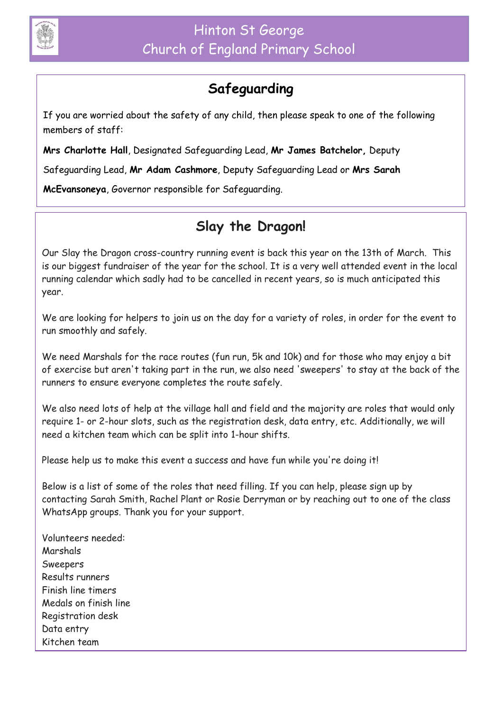

## **Safeguarding**

If you are worried about the safety of any child, then please speak to one of the following members of staff:

**Mrs Charlotte Hall**, Designated Safeguarding Lead, **Mr James Batchelor,** Deputy

Safeguarding Lead, **Mr Adam Cashmore**, Deputy Safeguarding Lead or **Mrs Sarah** 

**McEvansoneya**, Governor responsible for Safeguarding.

## **Slay the Dragon!**

Our Slay the Dragon cross-country running event is back this year on the 13th of March. This is our biggest fundraiser of the year for the school. It is a very well attended event in the local running calendar which sadly had to be cancelled in recent years, so is much anticipated this year.

We are looking for helpers to join us on the day for a variety of roles, in order for the event to run smoothly and safely.

We need Marshals for the race routes (fun run, 5k and 10k) and for those who may enjoy a bit of exercise but aren't taking part in the run, we also need 'sweepers' to stay at the back of the runners to ensure everyone completes the route safely.

We also need lots of help at the village hall and field and the majority are roles that would only require 1- or 2-hour slots, such as the registration desk, data entry, etc. Additionally, we will need a kitchen team which can be split into 1-hour shifts.

Please help us to make this event a success and have fun while you're doing it!

Below is a list of some of the roles that need filling. If you can help, please sign up by contacting Sarah Smith, Rachel Plant or Rosie Derryman or by reaching out to one of the class WhatsApp groups. Thank you for your support.

Volunteers needed: Marshals Sweepers Results runners Finish line timers Medals on finish line Registration desk Data entry Kitchen team